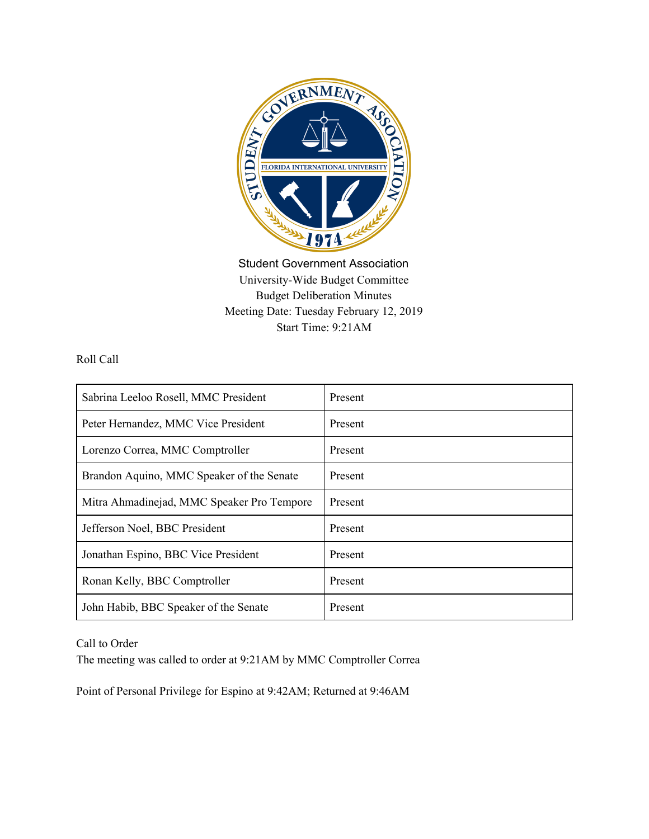

Student Government Association University-Wide Budget Committee Budget Deliberation Minutes Meeting Date: Tuesday February 12, 2019 Start Time: 9:21AM

Roll Call

| Sabrina Leeloo Rosell, MMC President       | <b>Present</b> |
|--------------------------------------------|----------------|
| Peter Hernandez, MMC Vice President        | Present        |
| Lorenzo Correa, MMC Comptroller            | Present        |
| Brandon Aquino, MMC Speaker of the Senate  | Present        |
| Mitra Ahmadinejad, MMC Speaker Pro Tempore | Present        |
| Jefferson Noel, BBC President              | Present        |
| Jonathan Espino, BBC Vice President        | Present        |
| Ronan Kelly, BBC Comptroller               | Present        |
| John Habib, BBC Speaker of the Senate      | Present        |

Call to Order

The meeting was called to order at 9:21AM by MMC Comptroller Correa

Point of Personal Privilege for Espino at 9:42AM; Returned at 9:46AM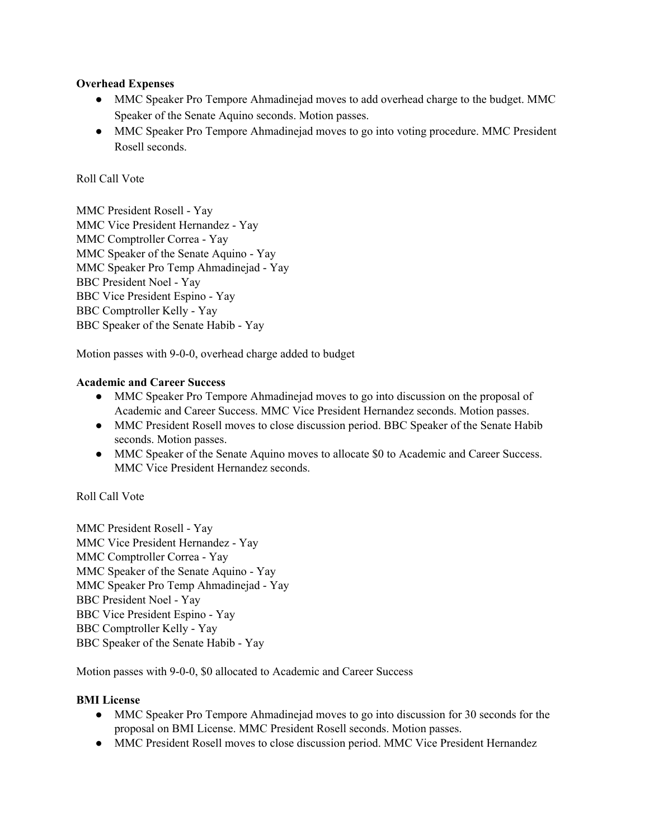## **Overhead Expenses**

- MMC Speaker Pro Tempore Ahmadinejad moves to add overhead charge to the budget. MMC Speaker of the Senate Aquino seconds. Motion passes.
- MMC Speaker Pro Tempore Ahmadinejad moves to go into voting procedure. MMC President Rosell seconds.

## Roll Call Vote

MMC President Rosell - Yay MMC Vice President Hernandez - Yay MMC Comptroller Correa - Yay MMC Speaker of the Senate Aquino - Yay MMC Speaker Pro Temp Ahmadinejad - Yay BBC President Noel - Yay BBC Vice President Espino - Yay BBC Comptroller Kelly - Yay BBC Speaker of the Senate Habib - Yay

Motion passes with 9-0-0, overhead charge added to budget

### **Academic and Career Success**

- MMC Speaker Pro Tempore Ahmadinejad moves to go into discussion on the proposal of Academic and Career Success. MMC Vice President Hernandez seconds. Motion passes.
- MMC President Rosell moves to close discussion period. BBC Speaker of the Senate Habib seconds. Motion passes.
- MMC Speaker of the Senate Aquino moves to allocate \$0 to Academic and Career Success. MMC Vice President Hernandez seconds.

Roll Call Vote

MMC President Rosell - Yay MMC Vice President Hernandez - Yay MMC Comptroller Correa - Yay MMC Speaker of the Senate Aquino - Yay MMC Speaker Pro Temp Ahmadinejad - Yay BBC President Noel - Yay BBC Vice President Espino - Yay BBC Comptroller Kelly - Yay BBC Speaker of the Senate Habib - Yay

Motion passes with 9-0-0, \$0 allocated to Academic and Career Success

### **BMI License**

- MMC Speaker Pro Tempore Ahmadinejad moves to go into discussion for 30 seconds for the proposal on BMI License. MMC President Rosell seconds. Motion passes.
- MMC President Rosell moves to close discussion period. MMC Vice President Hernandez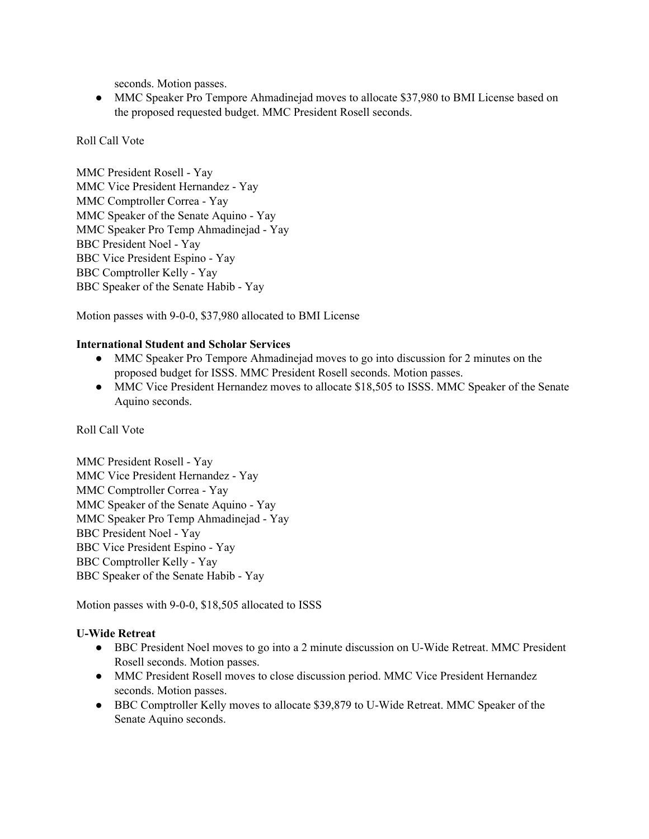seconds. Motion passes.

● MMC Speaker Pro Tempore Ahmadinejad moves to allocate \$37,980 to BMI License based on the proposed requested budget. MMC President Rosell seconds.

### Roll Call Vote

MMC President Rosell - Yay MMC Vice President Hernandez - Yay MMC Comptroller Correa - Yay MMC Speaker of the Senate Aquino - Yay MMC Speaker Pro Temp Ahmadinejad - Yay BBC President Noel - Yay BBC Vice President Espino - Yay BBC Comptroller Kelly - Yay BBC Speaker of the Senate Habib - Yay

Motion passes with 9-0-0, \$37,980 allocated to BMI License

### **International Student and Scholar Services**

- MMC Speaker Pro Tempore Ahmadinejad moves to go into discussion for 2 minutes on the proposed budget for ISSS. MMC President Rosell seconds. Motion passes.
- MMC Vice President Hernandez moves to allocate \$18,505 to ISSS. MMC Speaker of the Senate Aquino seconds.

## Roll Call Vote

MMC President Rosell - Yay MMC Vice President Hernandez - Yay MMC Comptroller Correa - Yay MMC Speaker of the Senate Aquino - Yay MMC Speaker Pro Temp Ahmadinejad - Yay BBC President Noel - Yay BBC Vice President Espino - Yay BBC Comptroller Kelly - Yay BBC Speaker of the Senate Habib - Yay

Motion passes with 9-0-0, \$18,505 allocated to ISSS

## **U-Wide Retreat**

- BBC President Noel moves to go into a 2 minute discussion on U-Wide Retreat. MMC President Rosell seconds. Motion passes.
- MMC President Rosell moves to close discussion period. MMC Vice President Hernandez seconds. Motion passes.
- BBC Comptroller Kelly moves to allocate \$39,879 to U-Wide Retreat. MMC Speaker of the Senate Aquino seconds.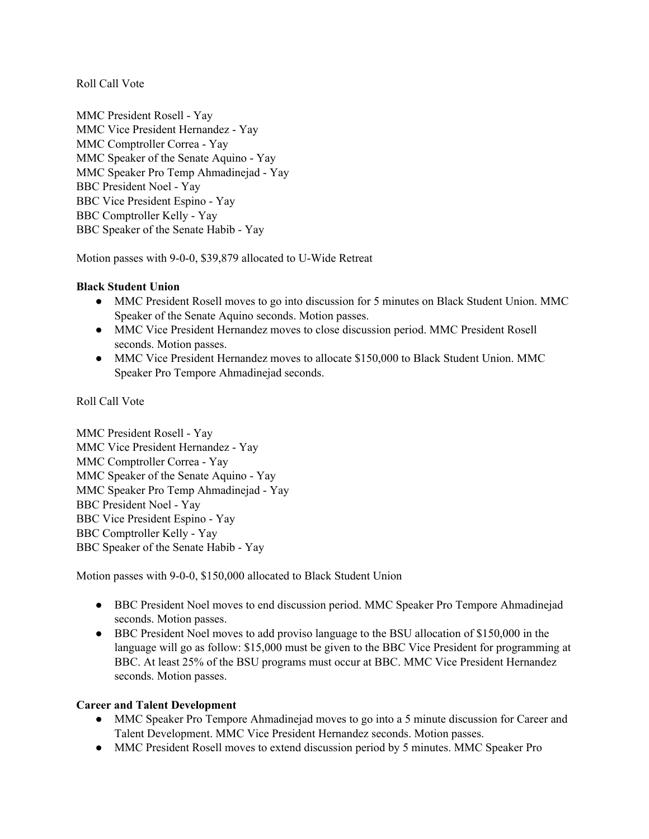Roll Call Vote

MMC President Rosell - Yay MMC Vice President Hernandez - Yay MMC Comptroller Correa - Yay MMC Speaker of the Senate Aquino - Yay MMC Speaker Pro Temp Ahmadinejad - Yay BBC President Noel - Yay BBC Vice President Espino - Yay BBC Comptroller Kelly - Yay BBC Speaker of the Senate Habib - Yay

Motion passes with 9-0-0, \$39,879 allocated to U-Wide Retreat

## **Black Student Union**

- MMC President Rosell moves to go into discussion for 5 minutes on Black Student Union. MMC Speaker of the Senate Aquino seconds. Motion passes.
- MMC Vice President Hernandez moves to close discussion period. MMC President Rosell seconds. Motion passes.
- MMC Vice President Hernandez moves to allocate \$150,000 to Black Student Union. MMC Speaker Pro Tempore Ahmadinejad seconds.

Roll Call Vote

MMC President Rosell - Yay MMC Vice President Hernandez - Yay MMC Comptroller Correa - Yay MMC Speaker of the Senate Aquino - Yay MMC Speaker Pro Temp Ahmadinejad - Yay BBC President Noel - Yay BBC Vice President Espino - Yay BBC Comptroller Kelly - Yay BBC Speaker of the Senate Habib - Yay

Motion passes with 9-0-0, \$150,000 allocated to Black Student Union

- BBC President Noel moves to end discussion period. MMC Speaker Pro Tempore Ahmadinejad seconds. Motion passes.
- BBC President Noel moves to add proviso language to the BSU allocation of \$150,000 in the language will go as follow: \$15,000 must be given to the BBC Vice President for programming at BBC. At least 25% of the BSU programs must occur at BBC. MMC Vice President Hernandez seconds. Motion passes.

## **Career and Talent Development**

- MMC Speaker Pro Tempore Ahmadinejad moves to go into a 5 minute discussion for Career and Talent Development. MMC Vice President Hernandez seconds. Motion passes.
- MMC President Rosell moves to extend discussion period by 5 minutes. MMC Speaker Pro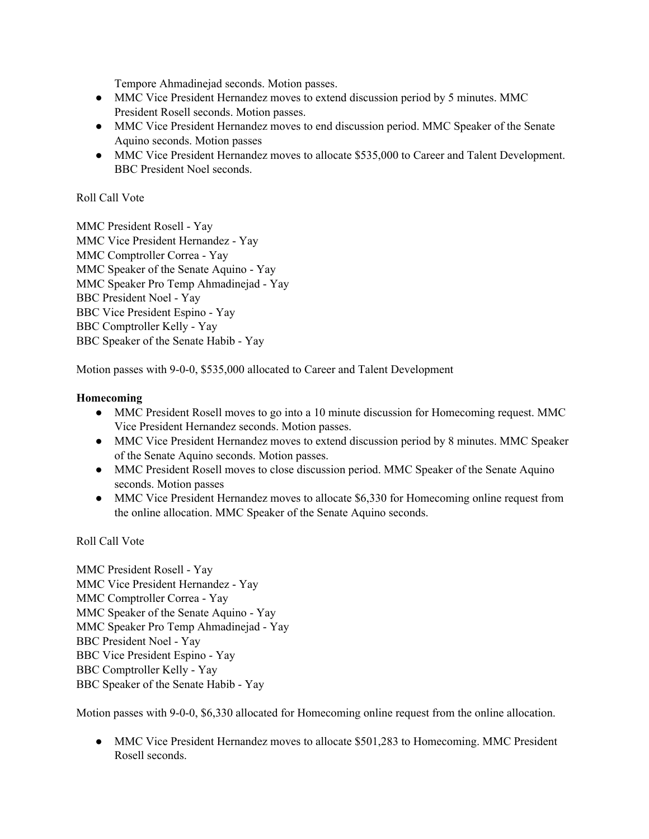Tempore Ahmadinejad seconds. Motion passes.

- MMC Vice President Hernandez moves to extend discussion period by 5 minutes. MMC President Rosell seconds. Motion passes.
- MMC Vice President Hernandez moves to end discussion period. MMC Speaker of the Senate Aquino seconds. Motion passes
- MMC Vice President Hernandez moves to allocate \$535,000 to Career and Talent Development. BBC President Noel seconds.

## Roll Call Vote

MMC President Rosell - Yay MMC Vice President Hernandez - Yay MMC Comptroller Correa - Yay MMC Speaker of the Senate Aquino - Yay MMC Speaker Pro Temp Ahmadinejad - Yay BBC President Noel - Yay BBC Vice President Espino - Yay BBC Comptroller Kelly - Yay BBC Speaker of the Senate Habib - Yay

Motion passes with 9-0-0, \$535,000 allocated to Career and Talent Development

### **Homecoming**

- MMC President Rosell moves to go into a 10 minute discussion for Homecoming request. MMC Vice President Hernandez seconds. Motion passes.
- MMC Vice President Hernandez moves to extend discussion period by 8 minutes. MMC Speaker of the Senate Aquino seconds. Motion passes.
- MMC President Rosell moves to close discussion period. MMC Speaker of the Senate Aquino seconds. Motion passes
- MMC Vice President Hernandez moves to allocate \$6,330 for Homecoming online request from the online allocation. MMC Speaker of the Senate Aquino seconds.

Roll Call Vote

MMC President Rosell - Yay MMC Vice President Hernandez - Yay MMC Comptroller Correa - Yay MMC Speaker of the Senate Aquino - Yay MMC Speaker Pro Temp Ahmadinejad - Yay BBC President Noel - Yay BBC Vice President Espino - Yay BBC Comptroller Kelly - Yay BBC Speaker of the Senate Habib - Yay

Motion passes with 9-0-0, \$6,330 allocated for Homecoming online request from the online allocation.

• MMC Vice President Hernandez moves to allocate \$501,283 to Homecoming. MMC President Rosell seconds.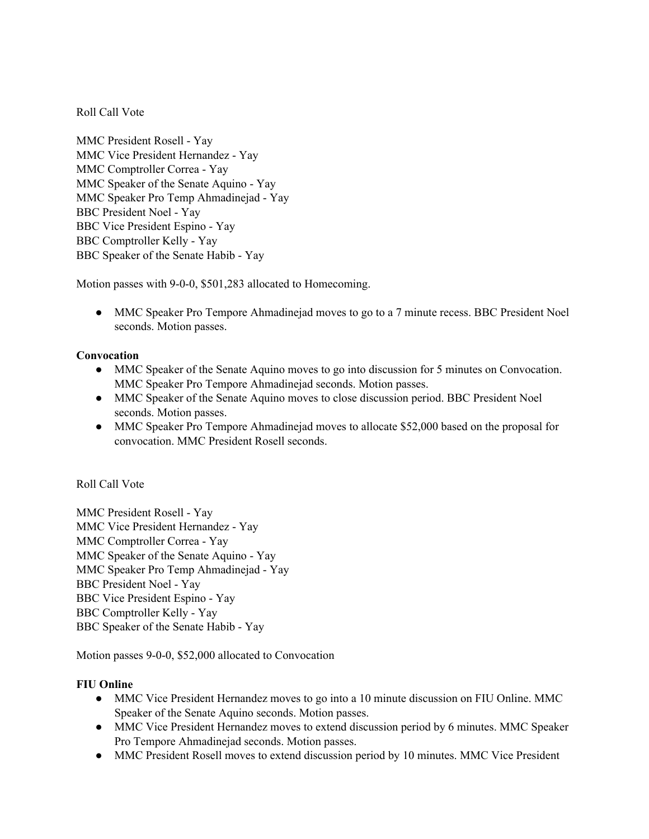Roll Call Vote

MMC President Rosell - Yay MMC Vice President Hernandez - Yay MMC Comptroller Correa - Yay MMC Speaker of the Senate Aquino - Yay MMC Speaker Pro Temp Ahmadinejad - Yay BBC President Noel - Yay BBC Vice President Espino - Yay BBC Comptroller Kelly - Yay BBC Speaker of the Senate Habib - Yay

Motion passes with 9-0-0, \$501,283 allocated to Homecoming.

• MMC Speaker Pro Tempore Ahmadinejad moves to go to a 7 minute recess. BBC President Noel seconds. Motion passes.

## **Convocation**

- MMC Speaker of the Senate Aquino moves to go into discussion for 5 minutes on Convocation. MMC Speaker Pro Tempore Ahmadinejad seconds. Motion passes.
- MMC Speaker of the Senate Aquino moves to close discussion period. BBC President Noel seconds. Motion passes.
- MMC Speaker Pro Tempore Ahmadinejad moves to allocate \$52,000 based on the proposal for convocation. MMC President Rosell seconds.

## Roll Call Vote

MMC President Rosell - Yay MMC Vice President Hernandez - Yay MMC Comptroller Correa - Yay MMC Speaker of the Senate Aquino - Yay MMC Speaker Pro Temp Ahmadinejad - Yay BBC President Noel - Yay BBC Vice President Espino - Yay BBC Comptroller Kelly - Yay BBC Speaker of the Senate Habib - Yay

Motion passes 9-0-0, \$52,000 allocated to Convocation

## **FIU Online**

- MMC Vice President Hernandez moves to go into a 10 minute discussion on FIU Online. MMC Speaker of the Senate Aquino seconds. Motion passes.
- MMC Vice President Hernandez moves to extend discussion period by 6 minutes. MMC Speaker Pro Tempore Ahmadinejad seconds. Motion passes.
- MMC President Rosell moves to extend discussion period by 10 minutes. MMC Vice President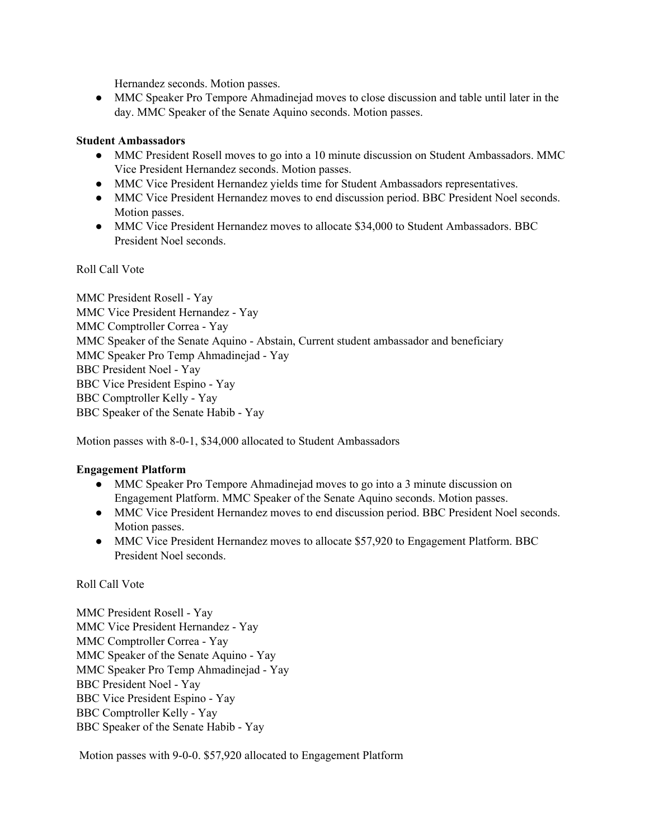Hernandez seconds. Motion passes.

• MMC Speaker Pro Tempore Ahmadinejad moves to close discussion and table until later in the day. MMC Speaker of the Senate Aquino seconds. Motion passes.

#### **Student Ambassadors**

- MMC President Rosell moves to go into a 10 minute discussion on Student Ambassadors. MMC Vice President Hernandez seconds. Motion passes.
- MMC Vice President Hernandez yields time for Student Ambassadors representatives.
- MMC Vice President Hernandez moves to end discussion period. BBC President Noel seconds. Motion passes.
- MMC Vice President Hernandez moves to allocate \$34,000 to Student Ambassadors. BBC President Noel seconds.

Roll Call Vote

MMC President Rosell - Yay MMC Vice President Hernandez - Yay MMC Comptroller Correa - Yay MMC Speaker of the Senate Aquino - Abstain, Current student ambassador and beneficiary MMC Speaker Pro Temp Ahmadinejad - Yay BBC President Noel - Yay BBC Vice President Espino - Yay BBC Comptroller Kelly - Yay BBC Speaker of the Senate Habib - Yay

Motion passes with 8-0-1, \$34,000 allocated to Student Ambassadors

## **Engagement Platform**

- MMC Speaker Pro Tempore Ahmadinejad moves to go into a 3 minute discussion on Engagement Platform. MMC Speaker of the Senate Aquino seconds. Motion passes.
- MMC Vice President Hernandez moves to end discussion period. BBC President Noel seconds. Motion passes.
- MMC Vice President Hernandez moves to allocate \$57,920 to Engagement Platform. BBC President Noel seconds.

#### Roll Call Vote

MMC President Rosell - Yay MMC Vice President Hernandez - Yay MMC Comptroller Correa - Yay MMC Speaker of the Senate Aquino - Yay MMC Speaker Pro Temp Ahmadinejad - Yay BBC President Noel - Yay BBC Vice President Espino - Yay BBC Comptroller Kelly - Yay BBC Speaker of the Senate Habib - Yay

Motion passes with 9-0-0. \$57,920 allocated to Engagement Platform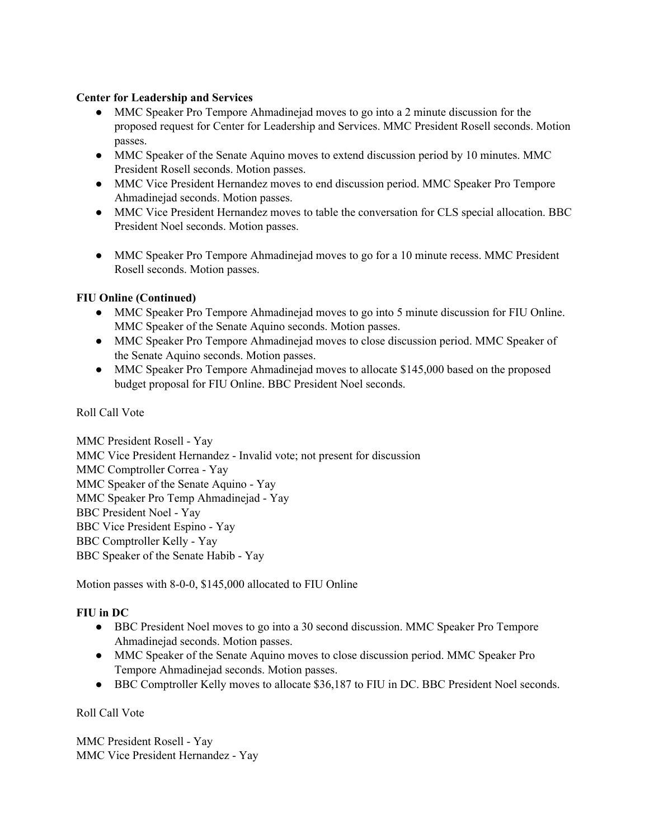### **Center for Leadership and Services**

- MMC Speaker Pro Tempore Ahmadinejad moves to go into a 2 minute discussion for the proposed request for Center for Leadership and Services. MMC President Rosell seconds. Motion passes.
- MMC Speaker of the Senate Aquino moves to extend discussion period by 10 minutes. MMC President Rosell seconds. Motion passes.
- MMC Vice President Hernandez moves to end discussion period. MMC Speaker Pro Tempore Ahmadinejad seconds. Motion passes.
- MMC Vice President Hernandez moves to table the conversation for CLS special allocation. BBC President Noel seconds. Motion passes.
- MMC Speaker Pro Tempore Ahmadinejad moves to go for a 10 minute recess. MMC President Rosell seconds. Motion passes.

## **FIU Online (Continued)**

- MMC Speaker Pro Tempore Ahmadinejad moves to go into 5 minute discussion for FIU Online. MMC Speaker of the Senate Aquino seconds. Motion passes.
- MMC Speaker Pro Tempore Ahmadinejad moves to close discussion period. MMC Speaker of the Senate Aquino seconds. Motion passes.
- MMC Speaker Pro Tempore Ahmadinejad moves to allocate \$145,000 based on the proposed budget proposal for FIU Online. BBC President Noel seconds.

#### Roll Call Vote

MMC President Rosell - Yay MMC Vice President Hernandez - Invalid vote; not present for discussion MMC Comptroller Correa - Yay MMC Speaker of the Senate Aquino - Yay MMC Speaker Pro Temp Ahmadinejad - Yay BBC President Noel - Yay BBC Vice President Espino - Yay BBC Comptroller Kelly - Yay BBC Speaker of the Senate Habib - Yay

Motion passes with 8-0-0, \$145,000 allocated to FIU Online

## **FIU in DC**

- BBC President Noel moves to go into a 30 second discussion. MMC Speaker Pro Tempore Ahmadinejad seconds. Motion passes.
- MMC Speaker of the Senate Aquino moves to close discussion period. MMC Speaker Pro Tempore Ahmadinejad seconds. Motion passes.
- BBC Comptroller Kelly moves to allocate \$36,187 to FIU in DC. BBC President Noel seconds.

Roll Call Vote

MMC President Rosell - Yay MMC Vice President Hernandez - Yay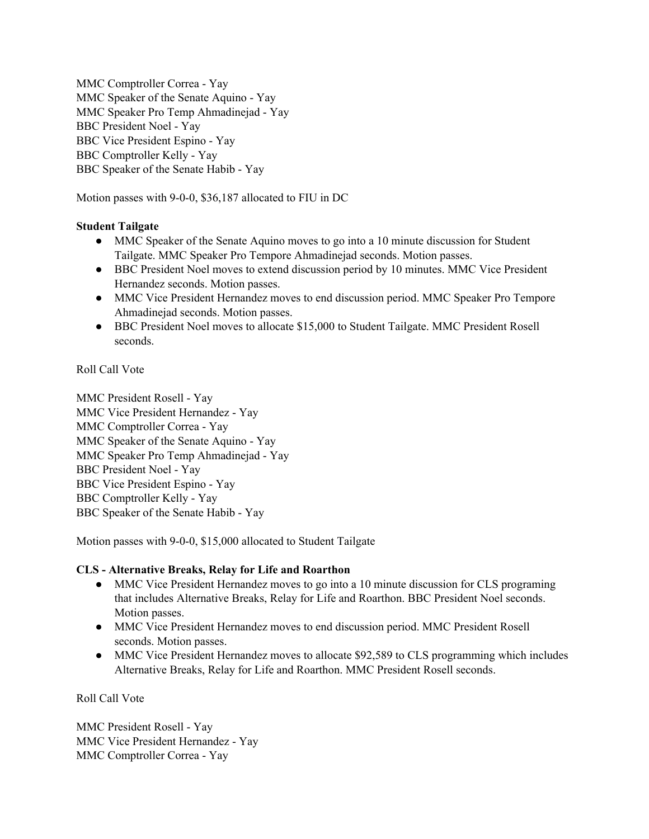MMC Comptroller Correa - Yay MMC Speaker of the Senate Aquino - Yay MMC Speaker Pro Temp Ahmadinejad - Yay BBC President Noel - Yay BBC Vice President Espino - Yay BBC Comptroller Kelly - Yay BBC Speaker of the Senate Habib - Yay

Motion passes with 9-0-0, \$36,187 allocated to FIU in DC

# **Student Tailgate**

- MMC Speaker of the Senate Aquino moves to go into a 10 minute discussion for Student Tailgate. MMC Speaker Pro Tempore Ahmadinejad seconds. Motion passes.
- BBC President Noel moves to extend discussion period by 10 minutes. MMC Vice President Hernandez seconds. Motion passes.
- MMC Vice President Hernandez moves to end discussion period. MMC Speaker Pro Tempore Ahmadinejad seconds. Motion passes.
- BBC President Noel moves to allocate \$15,000 to Student Tailgate. MMC President Rosell seconds.

Roll Call Vote

MMC President Rosell - Yay MMC Vice President Hernandez - Yay MMC Comptroller Correa - Yay MMC Speaker of the Senate Aquino - Yay MMC Speaker Pro Temp Ahmadinejad - Yay BBC President Noel - Yay BBC Vice President Espino - Yay BBC Comptroller Kelly - Yay BBC Speaker of the Senate Habib - Yay

Motion passes with 9-0-0, \$15,000 allocated to Student Tailgate

## **CLS - Alternative Breaks, Relay for Life and Roarthon**

- MMC Vice President Hernandez moves to go into a 10 minute discussion for CLS programing that includes Alternative Breaks, Relay for Life and Roarthon. BBC President Noel seconds. Motion passes.
- MMC Vice President Hernandez moves to end discussion period. MMC President Rosell seconds. Motion passes.
- MMC Vice President Hernandez moves to allocate \$92,589 to CLS programming which includes Alternative Breaks, Relay for Life and Roarthon. MMC President Rosell seconds.

Roll Call Vote

MMC President Rosell - Yay MMC Vice President Hernandez - Yay MMC Comptroller Correa - Yay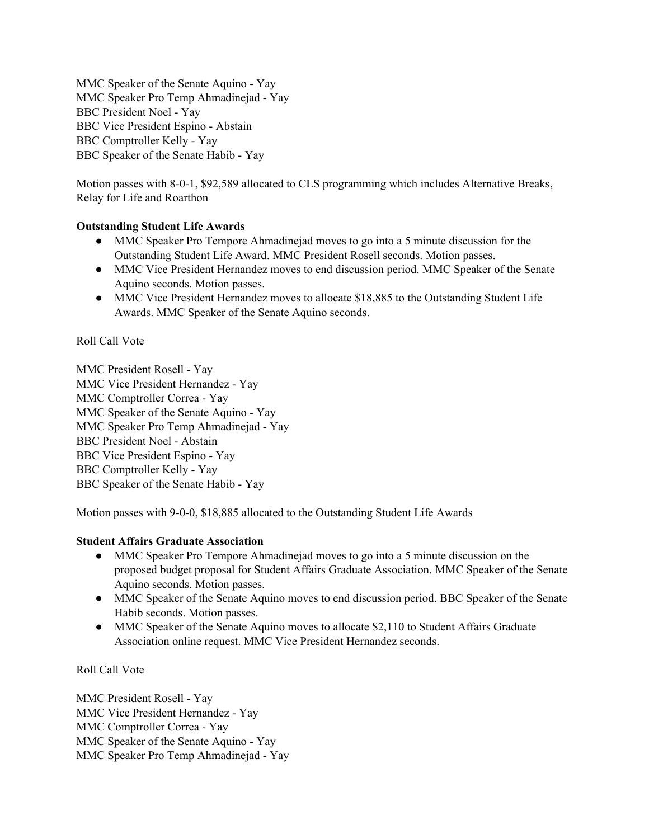MMC Speaker of the Senate Aquino - Yay MMC Speaker Pro Temp Ahmadinejad - Yay BBC President Noel - Yay BBC Vice President Espino - Abstain BBC Comptroller Kelly - Yay BBC Speaker of the Senate Habib - Yay

Motion passes with 8-0-1, \$92,589 allocated to CLS programming which includes Alternative Breaks, Relay for Life and Roarthon

## **Outstanding Student Life Awards**

- MMC Speaker Pro Tempore Ahmadinejad moves to go into a 5 minute discussion for the Outstanding Student Life Award. MMC President Rosell seconds. Motion passes.
- MMC Vice President Hernandez moves to end discussion period. MMC Speaker of the Senate Aquino seconds. Motion passes.
- MMC Vice President Hernandez moves to allocate \$18,885 to the Outstanding Student Life Awards. MMC Speaker of the Senate Aquino seconds.

# Roll Call Vote

MMC President Rosell - Yay MMC Vice President Hernandez - Yay MMC Comptroller Correa - Yay MMC Speaker of the Senate Aquino - Yay MMC Speaker Pro Temp Ahmadinejad - Yay BBC President Noel - Abstain BBC Vice President Espino - Yay BBC Comptroller Kelly - Yay BBC Speaker of the Senate Habib - Yay

Motion passes with 9-0-0, \$18,885 allocated to the Outstanding Student Life Awards

## **Student Affairs Graduate Association**

- MMC Speaker Pro Tempore Ahmadinejad moves to go into a 5 minute discussion on the proposed budget proposal for Student Affairs Graduate Association. MMC Speaker of the Senate Aquino seconds. Motion passes.
- MMC Speaker of the Senate Aquino moves to end discussion period. BBC Speaker of the Senate Habib seconds. Motion passes.
- MMC Speaker of the Senate Aquino moves to allocate \$2,110 to Student Affairs Graduate Association online request. MMC Vice President Hernandez seconds.

## Roll Call Vote

MMC President Rosell - Yay MMC Vice President Hernandez - Yay MMC Comptroller Correa - Yay MMC Speaker of the Senate Aquino - Yay MMC Speaker Pro Temp Ahmadinejad - Yay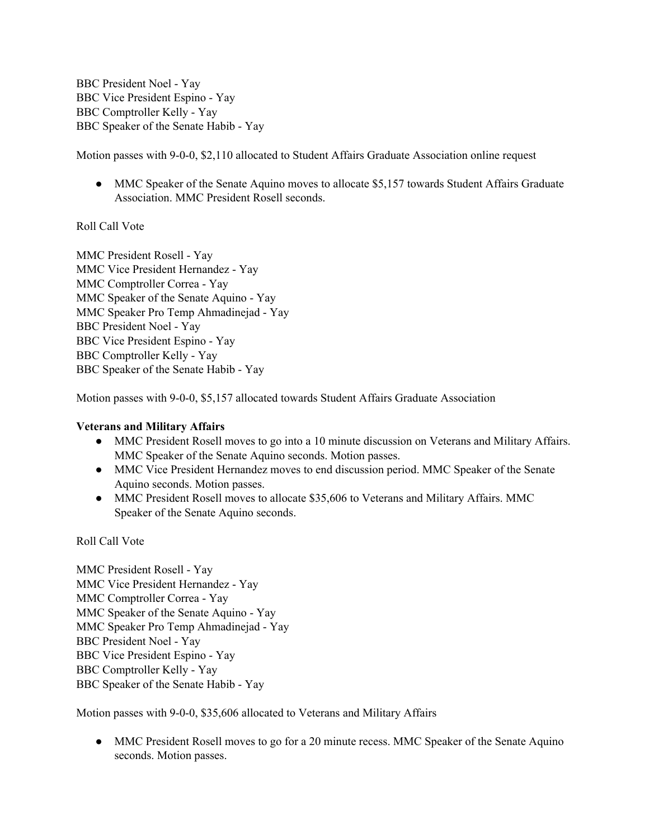BBC President Noel - Yay BBC Vice President Espino - Yay BBC Comptroller Kelly - Yay BBC Speaker of the Senate Habib - Yay

Motion passes with 9-0-0, \$2,110 allocated to Student Affairs Graduate Association online request

• MMC Speaker of the Senate Aquino moves to allocate \$5,157 towards Student Affairs Graduate Association. MMC President Rosell seconds.

### Roll Call Vote

MMC President Rosell - Yay MMC Vice President Hernandez - Yay MMC Comptroller Correa - Yay MMC Speaker of the Senate Aquino - Yay MMC Speaker Pro Temp Ahmadinejad - Yay BBC President Noel - Yay BBC Vice President Espino - Yay BBC Comptroller Kelly - Yay BBC Speaker of the Senate Habib - Yay

Motion passes with 9-0-0, \$5,157 allocated towards Student Affairs Graduate Association

#### **Veterans and Military Affairs**

- MMC President Rosell moves to go into a 10 minute discussion on Veterans and Military Affairs. MMC Speaker of the Senate Aquino seconds. Motion passes.
- MMC Vice President Hernandez moves to end discussion period. MMC Speaker of the Senate Aquino seconds. Motion passes.
- MMC President Rosell moves to allocate \$35,606 to Veterans and Military Affairs. MMC Speaker of the Senate Aquino seconds.

Roll Call Vote

MMC President Rosell - Yay MMC Vice President Hernandez - Yay MMC Comptroller Correa - Yay MMC Speaker of the Senate Aquino - Yay MMC Speaker Pro Temp Ahmadinejad - Yay BBC President Noel - Yay BBC Vice President Espino - Yay BBC Comptroller Kelly - Yay BBC Speaker of the Senate Habib - Yay

Motion passes with 9-0-0, \$35,606 allocated to Veterans and Military Affairs

• MMC President Rosell moves to go for a 20 minute recess. MMC Speaker of the Senate Aquino seconds. Motion passes.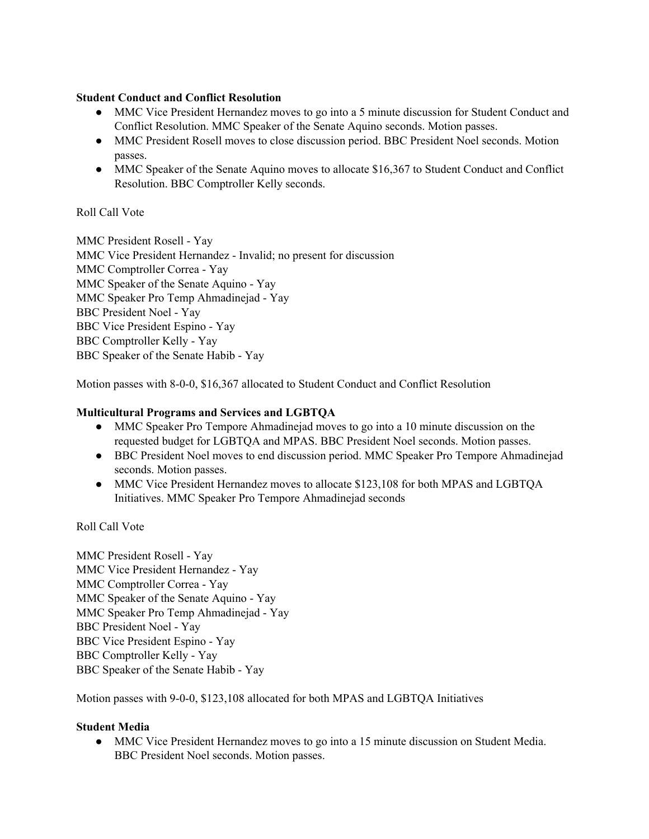### **Student Conduct and Conflict Resolution**

- MMC Vice President Hernandez moves to go into a 5 minute discussion for Student Conduct and Conflict Resolution. MMC Speaker of the Senate Aquino seconds. Motion passes.
- MMC President Rosell moves to close discussion period. BBC President Noel seconds. Motion passes.
- MMC Speaker of the Senate Aquino moves to allocate \$16,367 to Student Conduct and Conflict Resolution. BBC Comptroller Kelly seconds.

## Roll Call Vote

MMC President Rosell - Yay MMC Vice President Hernandez - Invalid; no present for discussion MMC Comptroller Correa - Yay MMC Speaker of the Senate Aquino - Yay MMC Speaker Pro Temp Ahmadinejad - Yay BBC President Noel - Yay BBC Vice President Espino - Yay BBC Comptroller Kelly - Yay BBC Speaker of the Senate Habib - Yay

Motion passes with 8-0-0, \$16,367 allocated to Student Conduct and Conflict Resolution

### **Multicultural Programs and Services and LGBTQA**

- MMC Speaker Pro Tempore Ahmadinejad moves to go into a 10 minute discussion on the requested budget for LGBTQA and MPAS. BBC President Noel seconds. Motion passes.
- BBC President Noel moves to end discussion period. MMC Speaker Pro Tempore Ahmadinejad seconds. Motion passes.
- MMC Vice President Hernandez moves to allocate \$123,108 for both MPAS and LGBTQA Initiatives. MMC Speaker Pro Tempore Ahmadinejad seconds

Roll Call Vote

MMC President Rosell - Yay MMC Vice President Hernandez - Yay MMC Comptroller Correa - Yay MMC Speaker of the Senate Aquino - Yay MMC Speaker Pro Temp Ahmadinejad - Yay BBC President Noel - Yay BBC Vice President Espino - Yay BBC Comptroller Kelly - Yay BBC Speaker of the Senate Habib - Yay

Motion passes with 9-0-0, \$123,108 allocated for both MPAS and LGBTQA Initiatives

#### **Student Media**

● MMC Vice President Hernandez moves to go into a 15 minute discussion on Student Media. BBC President Noel seconds. Motion passes.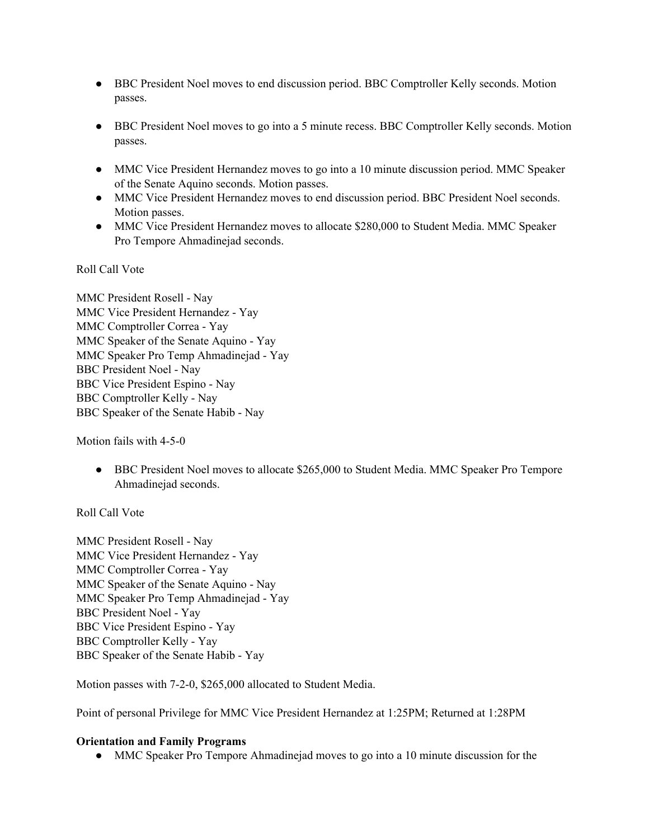- BBC President Noel moves to end discussion period. BBC Comptroller Kelly seconds. Motion passes.
- BBC President Noel moves to go into a 5 minute recess. BBC Comptroller Kelly seconds. Motion passes.
- MMC Vice President Hernandez moves to go into a 10 minute discussion period. MMC Speaker of the Senate Aquino seconds. Motion passes.
- MMC Vice President Hernandez moves to end discussion period. BBC President Noel seconds. Motion passes.
- MMC Vice President Hernandez moves to allocate \$280,000 to Student Media. MMC Speaker Pro Tempore Ahmadinejad seconds.

Roll Call Vote

MMC President Rosell - Nay MMC Vice President Hernandez - Yay MMC Comptroller Correa - Yay MMC Speaker of the Senate Aquino - Yay MMC Speaker Pro Temp Ahmadinejad - Yay BBC President Noel - Nay BBC Vice President Espino - Nay BBC Comptroller Kelly - Nay BBC Speaker of the Senate Habib - Nay

Motion fails with 4-5-0

● BBC President Noel moves to allocate \$265,000 to Student Media. MMC Speaker Pro Tempore Ahmadinejad seconds.

Roll Call Vote

MMC President Rosell - Nay MMC Vice President Hernandez - Yay MMC Comptroller Correa - Yay MMC Speaker of the Senate Aquino - Nay MMC Speaker Pro Temp Ahmadinejad - Yay BBC President Noel - Yay BBC Vice President Espino - Yay BBC Comptroller Kelly - Yay BBC Speaker of the Senate Habib - Yay

Motion passes with 7-2-0, \$265,000 allocated to Student Media.

Point of personal Privilege for MMC Vice President Hernandez at 1:25PM; Returned at 1:28PM

#### **Orientation and Family Programs**

• MMC Speaker Pro Tempore Ahmadinejad moves to go into a 10 minute discussion for the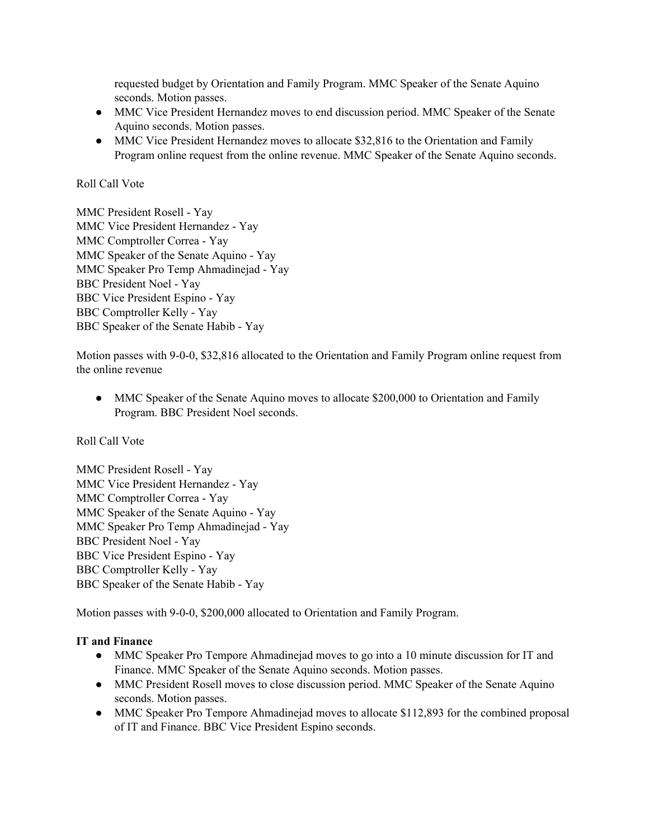requested budget by Orientation and Family Program. MMC Speaker of the Senate Aquino seconds. Motion passes.

- MMC Vice President Hernandez moves to end discussion period. MMC Speaker of the Senate Aquino seconds. Motion passes.
- MMC Vice President Hernandez moves to allocate \$32,816 to the Orientation and Family Program online request from the online revenue. MMC Speaker of the Senate Aquino seconds.

## Roll Call Vote

MMC President Rosell - Yay MMC Vice President Hernandez - Yay MMC Comptroller Correa - Yay MMC Speaker of the Senate Aquino - Yay MMC Speaker Pro Temp Ahmadinejad - Yay BBC President Noel - Yay BBC Vice President Espino - Yay BBC Comptroller Kelly - Yay BBC Speaker of the Senate Habib - Yay

Motion passes with 9-0-0, \$32,816 allocated to the Orientation and Family Program online request from the online revenue

• MMC Speaker of the Senate Aquino moves to allocate \$200,000 to Orientation and Family Program. BBC President Noel seconds.

Roll Call Vote

MMC President Rosell - Yay MMC Vice President Hernandez - Yay MMC Comptroller Correa - Yay MMC Speaker of the Senate Aquino - Yay MMC Speaker Pro Temp Ahmadinejad - Yay BBC President Noel - Yay BBC Vice President Espino - Yay BBC Comptroller Kelly - Yay BBC Speaker of the Senate Habib - Yay

Motion passes with 9-0-0, \$200,000 allocated to Orientation and Family Program.

## **IT and Finance**

- MMC Speaker Pro Tempore Ahmadinejad moves to go into a 10 minute discussion for IT and Finance. MMC Speaker of the Senate Aquino seconds. Motion passes.
- MMC President Rosell moves to close discussion period. MMC Speaker of the Senate Aquino seconds. Motion passes.
- MMC Speaker Pro Tempore Ahmadinejad moves to allocate \$112,893 for the combined proposal of IT and Finance. BBC Vice President Espino seconds.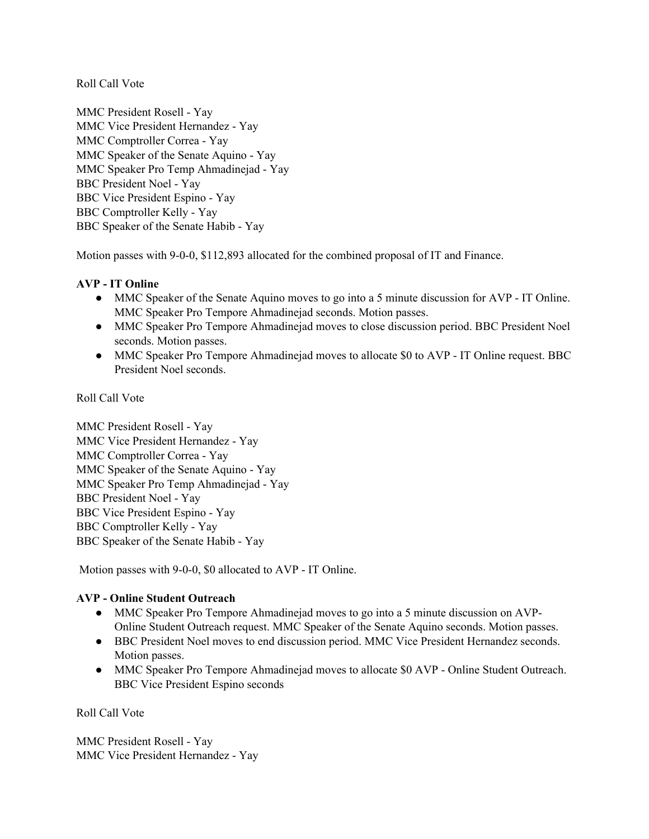Roll Call Vote

MMC President Rosell - Yay MMC Vice President Hernandez - Yay MMC Comptroller Correa - Yay MMC Speaker of the Senate Aquino - Yay MMC Speaker Pro Temp Ahmadinejad - Yay BBC President Noel - Yay BBC Vice President Espino - Yay BBC Comptroller Kelly - Yay BBC Speaker of the Senate Habib - Yay

Motion passes with 9-0-0, \$112,893 allocated for the combined proposal of IT and Finance.

## **AVP - IT Online**

- MMC Speaker of the Senate Aquino moves to go into a 5 minute discussion for AVP IT Online. MMC Speaker Pro Tempore Ahmadinejad seconds. Motion passes.
- MMC Speaker Pro Tempore Ahmadinejad moves to close discussion period. BBC President Noel seconds. Motion passes.
- MMC Speaker Pro Tempore Ahmadinejad moves to allocate \$0 to AVP IT Online request. BBC President Noel seconds.

Roll Call Vote

MMC President Rosell - Yay MMC Vice President Hernandez - Yay MMC Comptroller Correa - Yay MMC Speaker of the Senate Aquino - Yay MMC Speaker Pro Temp Ahmadinejad - Yay BBC President Noel - Yay BBC Vice President Espino - Yay BBC Comptroller Kelly - Yay BBC Speaker of the Senate Habib - Yay

Motion passes with 9-0-0, \$0 allocated to AVP - IT Online.

## **AVP - Online Student Outreach**

- MMC Speaker Pro Tempore Ahmadinejad moves to go into a 5 minute discussion on AVP-Online Student Outreach request. MMC Speaker of the Senate Aquino seconds. Motion passes.
- BBC President Noel moves to end discussion period. MMC Vice President Hernandez seconds. Motion passes.
- MMC Speaker Pro Tempore Ahmadinejad moves to allocate \$0 AVP Online Student Outreach. BBC Vice President Espino seconds

Roll Call Vote

MMC President Rosell - Yay MMC Vice President Hernandez - Yay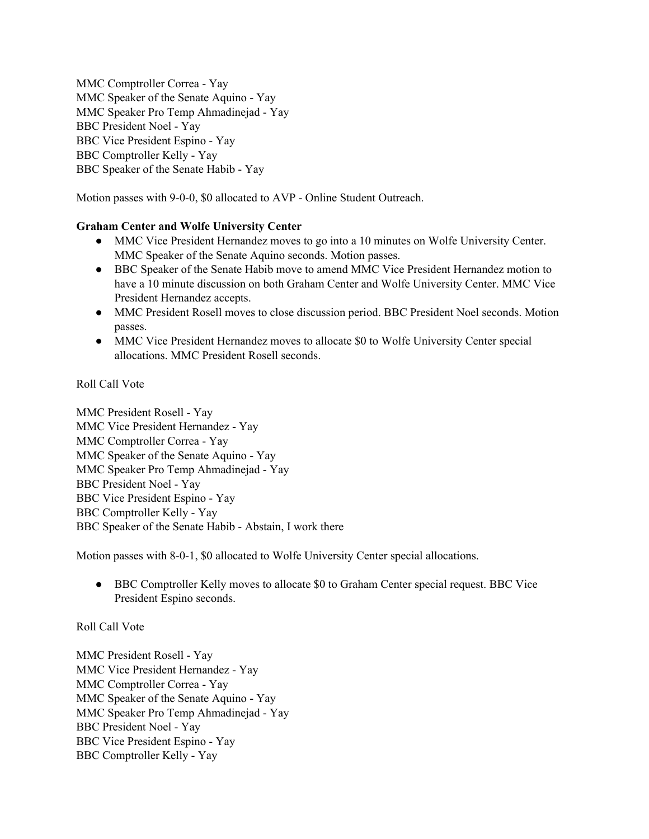MMC Comptroller Correa - Yay MMC Speaker of the Senate Aquino - Yay MMC Speaker Pro Temp Ahmadinejad - Yay BBC President Noel - Yay BBC Vice President Espino - Yay BBC Comptroller Kelly - Yay BBC Speaker of the Senate Habib - Yay

Motion passes with 9-0-0, \$0 allocated to AVP - Online Student Outreach.

## **Graham Center and Wolfe University Center**

- MMC Vice President Hernandez moves to go into a 10 minutes on Wolfe University Center. MMC Speaker of the Senate Aquino seconds. Motion passes.
- BBC Speaker of the Senate Habib move to amend MMC Vice President Hernandez motion to have a 10 minute discussion on both Graham Center and Wolfe University Center. MMC Vice President Hernandez accepts.
- MMC President Rosell moves to close discussion period. BBC President Noel seconds. Motion passes.
- MMC Vice President Hernandez moves to allocate \$0 to Wolfe University Center special allocations. MMC President Rosell seconds.

Roll Call Vote

MMC President Rosell - Yay MMC Vice President Hernandez - Yay MMC Comptroller Correa - Yay MMC Speaker of the Senate Aquino - Yay MMC Speaker Pro Temp Ahmadinejad - Yay BBC President Noel - Yay BBC Vice President Espino - Yay BBC Comptroller Kelly - Yay BBC Speaker of the Senate Habib - Abstain, I work there

Motion passes with 8-0-1, \$0 allocated to Wolfe University Center special allocations.

• BBC Comptroller Kelly moves to allocate \$0 to Graham Center special request. BBC Vice President Espino seconds.

## Roll Call Vote

MMC President Rosell - Yay MMC Vice President Hernandez - Yay MMC Comptroller Correa - Yay MMC Speaker of the Senate Aquino - Yay MMC Speaker Pro Temp Ahmadinejad - Yay BBC President Noel - Yay BBC Vice President Espino - Yay BBC Comptroller Kelly - Yay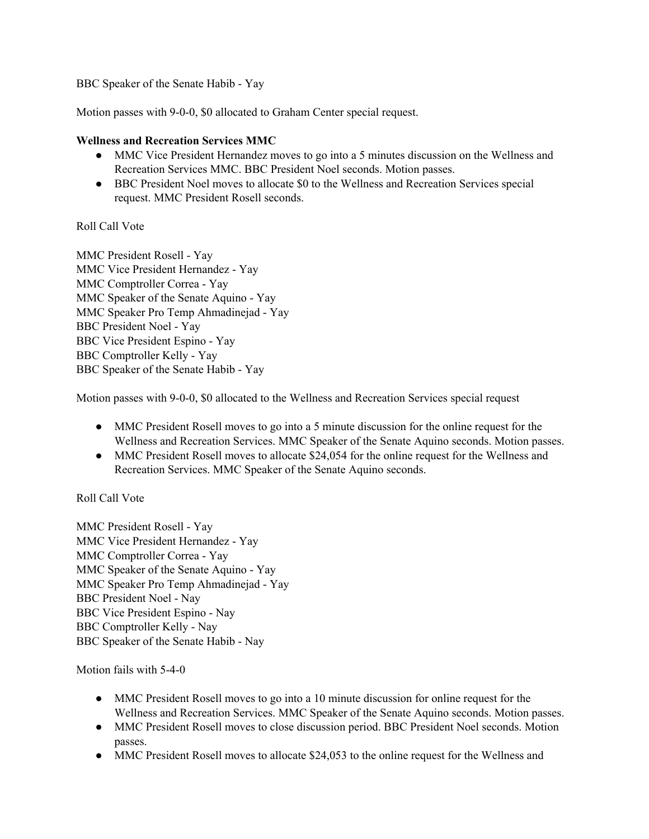BBC Speaker of the Senate Habib - Yay

Motion passes with 9-0-0, \$0 allocated to Graham Center special request.

### **Wellness and Recreation Services MMC**

- MMC Vice President Hernandez moves to go into a 5 minutes discussion on the Wellness and Recreation Services MMC. BBC President Noel seconds. Motion passes.
- BBC President Noel moves to allocate \$0 to the Wellness and Recreation Services special request. MMC President Rosell seconds.

## Roll Call Vote

MMC President Rosell - Yay MMC Vice President Hernandez - Yay MMC Comptroller Correa - Yay MMC Speaker of the Senate Aquino - Yay MMC Speaker Pro Temp Ahmadinejad - Yay BBC President Noel - Yay BBC Vice President Espino - Yay BBC Comptroller Kelly - Yay BBC Speaker of the Senate Habib - Yay

Motion passes with 9-0-0, \$0 allocated to the Wellness and Recreation Services special request

- MMC President Rosell moves to go into a 5 minute discussion for the online request for the Wellness and Recreation Services. MMC Speaker of the Senate Aquino seconds. Motion passes.
- MMC President Rosell moves to allocate \$24,054 for the online request for the Wellness and Recreation Services. MMC Speaker of the Senate Aquino seconds.

## Roll Call Vote

MMC President Rosell - Yay MMC Vice President Hernandez - Yay MMC Comptroller Correa - Yay MMC Speaker of the Senate Aquino - Yay MMC Speaker Pro Temp Ahmadinejad - Yay BBC President Noel - Nay BBC Vice President Espino - Nay BBC Comptroller Kelly - Nay BBC Speaker of the Senate Habib - Nay

Motion fails with 5-4-0

- MMC President Rosell moves to go into a 10 minute discussion for online request for the Wellness and Recreation Services. MMC Speaker of the Senate Aquino seconds. Motion passes.
- MMC President Rosell moves to close discussion period. BBC President Noel seconds. Motion passes.
- MMC President Rosell moves to allocate \$24,053 to the online request for the Wellness and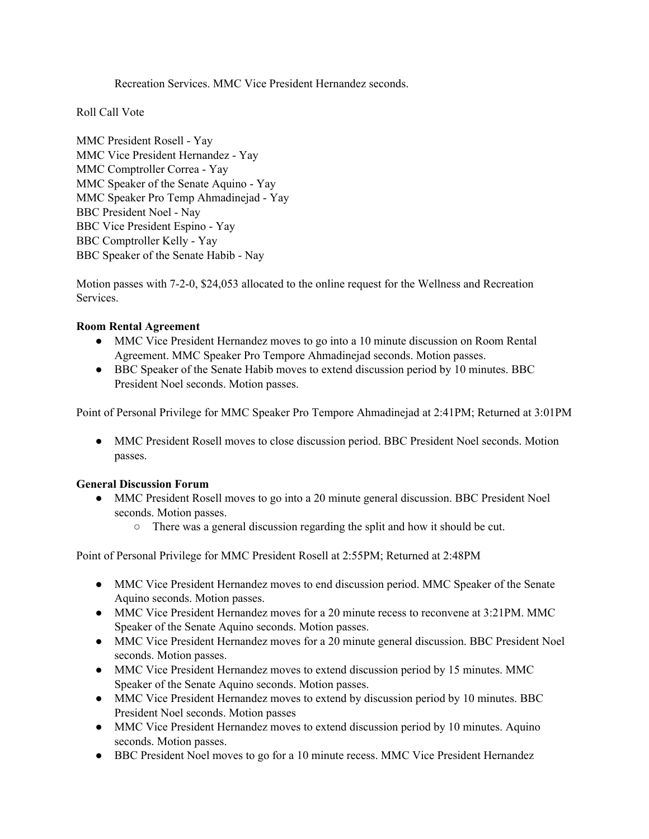Recreation Services. MMC Vice President Hernandez seconds.

Roll Call Vote

MMC President Rosell - Yay MMC Vice President Hernandez - Yay MMC Comptroller Correa - Yay MMC Speaker of the Senate Aquino - Yay MMC Speaker Pro Temp Ahmadinejad - Yay BBC President Noel - Nay BBC Vice President Espino - Yay BBC Comptroller Kelly - Yay BBC Speaker of the Senate Habib - Nay

Motion passes with 7-2-0, \$24,053 allocated to the online request for the Wellness and Recreation Services.

### **Room Rental Agreement**

- MMC Vice President Hernandez moves to go into a 10 minute discussion on Room Rental Agreement. MMC Speaker Pro Tempore Ahmadinejad seconds. Motion passes.
- BBC Speaker of the Senate Habib moves to extend discussion period by 10 minutes. BBC President Noel seconds. Motion passes.

Point of Personal Privilege for MMC Speaker Pro Tempore Ahmadinejad at 2:41PM; Returned at 3:01PM

• MMC President Rosell moves to close discussion period. BBC President Noel seconds. Motion passes.

## **General Discussion Forum**

- MMC President Rosell moves to go into a 20 minute general discussion. BBC President Noel seconds. Motion passes.
	- There was a general discussion regarding the split and how it should be cut.

Point of Personal Privilege for MMC President Rosell at 2:55PM; Returned at 2:48PM

- MMC Vice President Hernandez moves to end discussion period. MMC Speaker of the Senate Aquino seconds. Motion passes.
- MMC Vice President Hernandez moves for a 20 minute recess to reconvene at 3:21PM. MMC Speaker of the Senate Aquino seconds. Motion passes.
- MMC Vice President Hernandez moves for a 20 minute general discussion. BBC President Noel seconds. Motion passes.
- MMC Vice President Hernandez moves to extend discussion period by 15 minutes. MMC Speaker of the Senate Aquino seconds. Motion passes.
- MMC Vice President Hernandez moves to extend by discussion period by 10 minutes. BBC President Noel seconds. Motion passes
- MMC Vice President Hernandez moves to extend discussion period by 10 minutes. Aquino seconds. Motion passes.
- BBC President Noel moves to go for a 10 minute recess. MMC Vice President Hernandez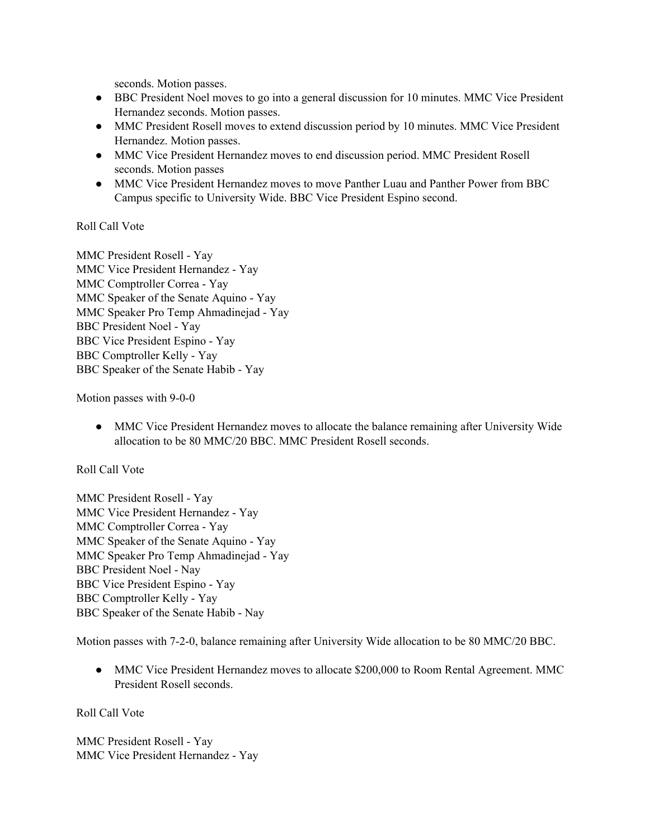seconds. Motion passes.

- BBC President Noel moves to go into a general discussion for 10 minutes. MMC Vice President Hernandez seconds. Motion passes.
- MMC President Rosell moves to extend discussion period by 10 minutes. MMC Vice President Hernandez. Motion passes.
- MMC Vice President Hernandez moves to end discussion period. MMC President Rosell seconds. Motion passes
- MMC Vice President Hernandez moves to move Panther Luau and Panther Power from BBC Campus specific to University Wide. BBC Vice President Espino second.

## Roll Call Vote

MMC President Rosell - Yay MMC Vice President Hernandez - Yay MMC Comptroller Correa - Yay MMC Speaker of the Senate Aquino - Yay MMC Speaker Pro Temp Ahmadinejad - Yay BBC President Noel - Yay BBC Vice President Espino - Yay BBC Comptroller Kelly - Yay BBC Speaker of the Senate Habib - Yay

Motion passes with 9-0-0

● MMC Vice President Hernandez moves to allocate the balance remaining after University Wide allocation to be 80 MMC/20 BBC. MMC President Rosell seconds.

## Roll Call Vote

MMC President Rosell - Yay MMC Vice President Hernandez - Yay MMC Comptroller Correa - Yay MMC Speaker of the Senate Aquino - Yay MMC Speaker Pro Temp Ahmadinejad - Yay BBC President Noel - Nay BBC Vice President Espino - Yay BBC Comptroller Kelly - Yay BBC Speaker of the Senate Habib - Nay

Motion passes with 7-2-0, balance remaining after University Wide allocation to be 80 MMC/20 BBC.

• MMC Vice President Hernandez moves to allocate \$200,000 to Room Rental Agreement. MMC President Rosell seconds.

Roll Call Vote

MMC President Rosell - Yay MMC Vice President Hernandez - Yay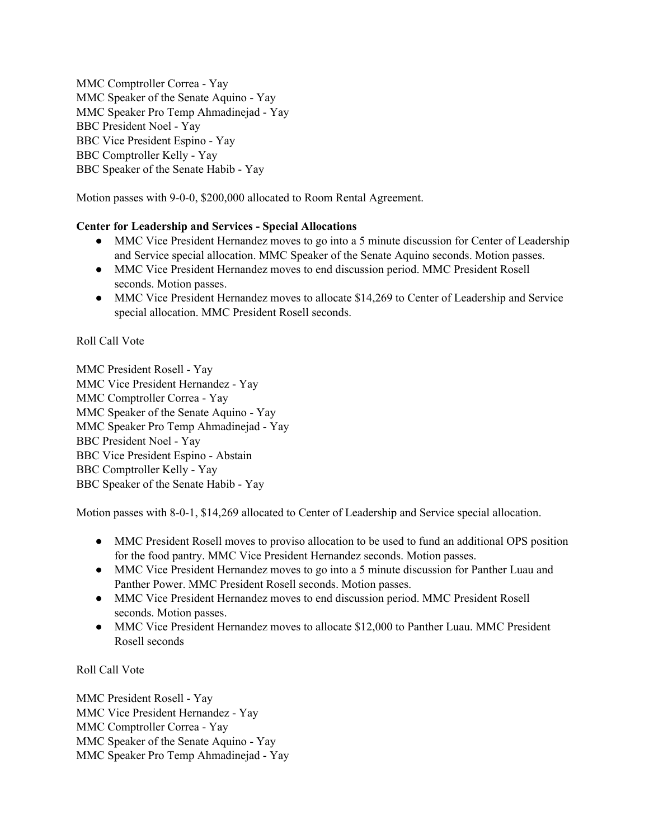MMC Comptroller Correa - Yay MMC Speaker of the Senate Aquino - Yay MMC Speaker Pro Temp Ahmadinejad - Yay BBC President Noel - Yay BBC Vice President Espino - Yay BBC Comptroller Kelly - Yay BBC Speaker of the Senate Habib - Yay

Motion passes with 9-0-0, \$200,000 allocated to Room Rental Agreement.

### **Center for Leadership and Services - Special Allocations**

- MMC Vice President Hernandez moves to go into a 5 minute discussion for Center of Leadership and Service special allocation. MMC Speaker of the Senate Aquino seconds. Motion passes.
- MMC Vice President Hernandez moves to end discussion period. MMC President Rosell seconds. Motion passes.
- MMC Vice President Hernandez moves to allocate \$14,269 to Center of Leadership and Service special allocation. MMC President Rosell seconds.

## Roll Call Vote

MMC President Rosell - Yay MMC Vice President Hernandez - Yay MMC Comptroller Correa - Yay MMC Speaker of the Senate Aquino - Yay MMC Speaker Pro Temp Ahmadinejad - Yay BBC President Noel - Yay BBC Vice President Espino - Abstain BBC Comptroller Kelly - Yay BBC Speaker of the Senate Habib - Yay

Motion passes with 8-0-1, \$14,269 allocated to Center of Leadership and Service special allocation.

- MMC President Rosell moves to proviso allocation to be used to fund an additional OPS position for the food pantry. MMC Vice President Hernandez seconds. Motion passes.
- MMC Vice President Hernandez moves to go into a 5 minute discussion for Panther Luau and Panther Power. MMC President Rosell seconds. Motion passes.
- MMC Vice President Hernandez moves to end discussion period. MMC President Rosell seconds. Motion passes.
- MMC Vice President Hernandez moves to allocate \$12,000 to Panther Luau. MMC President Rosell seconds

#### Roll Call Vote

MMC President Rosell - Yay MMC Vice President Hernandez - Yay MMC Comptroller Correa - Yay MMC Speaker of the Senate Aquino - Yay MMC Speaker Pro Temp Ahmadinejad - Yay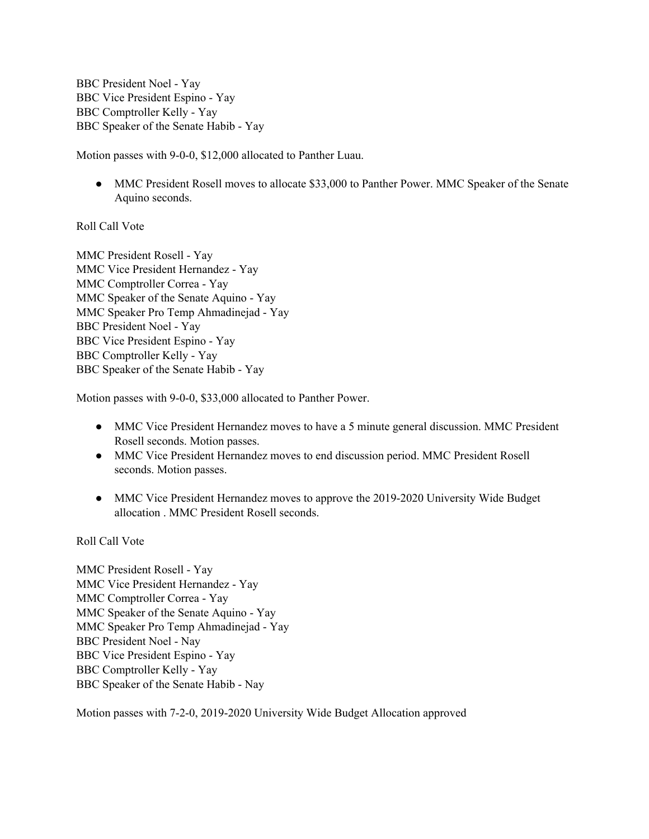BBC President Noel - Yay BBC Vice President Espino - Yay BBC Comptroller Kelly - Yay BBC Speaker of the Senate Habib - Yay

Motion passes with 9-0-0, \$12,000 allocated to Panther Luau.

• MMC President Rosell moves to allocate \$33,000 to Panther Power. MMC Speaker of the Senate Aquino seconds.

### Roll Call Vote

MMC President Rosell - Yay MMC Vice President Hernandez - Yay MMC Comptroller Correa - Yay MMC Speaker of the Senate Aquino - Yay MMC Speaker Pro Temp Ahmadinejad - Yay BBC President Noel - Yay BBC Vice President Espino - Yay BBC Comptroller Kelly - Yay BBC Speaker of the Senate Habib - Yay

Motion passes with 9-0-0, \$33,000 allocated to Panther Power.

- MMC Vice President Hernandez moves to have a 5 minute general discussion. MMC President Rosell seconds. Motion passes.
- MMC Vice President Hernandez moves to end discussion period. MMC President Rosell seconds. Motion passes.
- MMC Vice President Hernandez moves to approve the 2019-2020 University Wide Budget allocation . MMC President Rosell seconds.

Roll Call Vote

MMC President Rosell - Yay MMC Vice President Hernandez - Yay MMC Comptroller Correa - Yay MMC Speaker of the Senate Aquino - Yay MMC Speaker Pro Temp Ahmadinejad - Yay BBC President Noel - Nay BBC Vice President Espino - Yay BBC Comptroller Kelly - Yay BBC Speaker of the Senate Habib - Nay

Motion passes with 7-2-0, 2019-2020 University Wide Budget Allocation approved